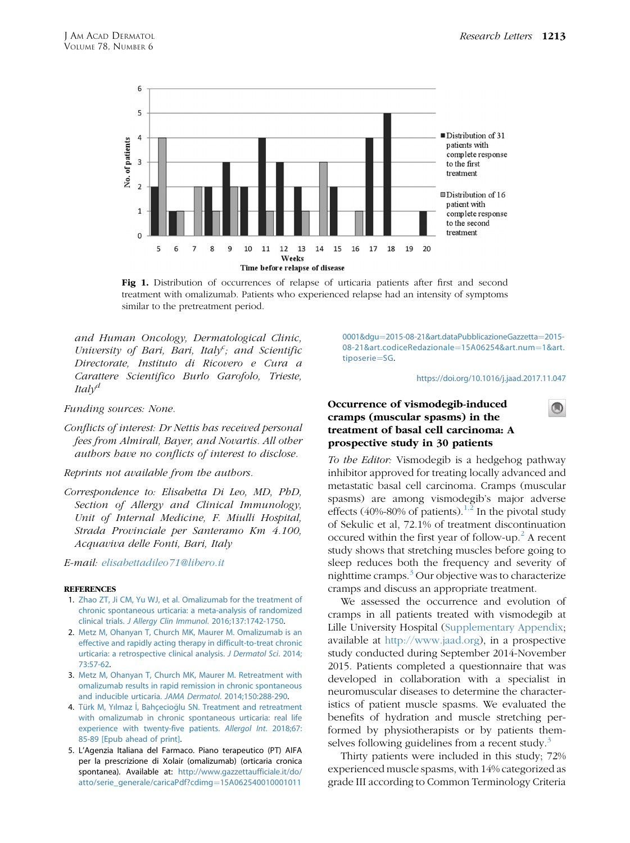

Fig 1. Distribution of occurrences of relapse of urticaria patients after first and second treatment with omalizumab. Patients who experienced relapse had an intensity of symptoms similar to the pretreatment period.

and Human Oncology, Dermatological Clinic, University of Bari, Bari, Italy<sup>c</sup>; and Scientific Directorate, Instituto di Ricovero e Cura a Carattere Scientifico Burlo Garofolo, Trieste, Ital $v^d$ 

Funding sources: None.

Conflicts of interest: Dr Nettis has received personal fees from Almirall, Bayer, and Novartis. All other authors have no conflicts of interest to disclose.

Reprints not available from the authors.

Correspondence to: Elisabetta Di Leo, MD, PhD, Section of Allergy and Clinical Immunology, Unit of Internal Medicine, F. Miulli Hospital, Strada Provinciale per Santeramo Km 4.100, Acquaviva delle Fonti, Bari, Italy

E-mail: [elisabettadileo71@libero.it](mailto:elisabettadileo71@libero.it)

#### **REFERENCES**

- 1. [Zhao ZT, Ji CM, Yu WJ, et al. Omalizumab for the treatment of](http://refhub.elsevier.com/S0190-9622(17)32744-5/sref1) [chronic spontaneous urticaria: a meta-analysis of randomized](http://refhub.elsevier.com/S0190-9622(17)32744-5/sref1) clinical trials. [J Allergy Clin Immunol](http://refhub.elsevier.com/S0190-9622(17)32744-5/sref1). 2016;137:1742-1750.
- 2. [Metz M, Ohanyan T, Church MK, Maurer M. Omalizumab is an](http://refhub.elsevier.com/S0190-9622(17)32744-5/sref2) [effective and rapidly acting therapy in difficult-to-treat chronic](http://refhub.elsevier.com/S0190-9622(17)32744-5/sref2) [urticaria: a retrospective clinical analysis.](http://refhub.elsevier.com/S0190-9622(17)32744-5/sref2) J Dermatol Sci. 2014; [73:57-62](http://refhub.elsevier.com/S0190-9622(17)32744-5/sref2).
- 3. [Metz M, Ohanyan T, Church MK, Maurer M. Retreatment with](http://refhub.elsevier.com/S0190-9622(17)32744-5/sref3) [omalizumab results in rapid remission in chronic spontaneous](http://refhub.elsevier.com/S0190-9622(17)32744-5/sref3) [and inducible urticaria.](http://refhub.elsevier.com/S0190-9622(17)32744-5/sref3) JAMA Dermatol. 2014;150:288-290.
- 4. Türk M, Yılmaz İ, Bahç[ecio](http://refhub.elsevier.com/S0190-9622(17)32744-5/sref4)ğ[lu SN. Treatment and retreatment](http://refhub.elsevier.com/S0190-9622(17)32744-5/sref4) [with omalizumab in chronic spontaneous urticaria: real life](http://refhub.elsevier.com/S0190-9622(17)32744-5/sref4) [experience with twenty-five patients.](http://refhub.elsevier.com/S0190-9622(17)32744-5/sref4) Allergol Int. 2018;67: [85-89 \[Epub ahead of print\]](http://refhub.elsevier.com/S0190-9622(17)32744-5/sref4).
- 5. L'Agenzia Italiana del Farmaco. Piano terapeutico (PT) AIFA per la prescrizione di Xolair (omalizumab) (orticaria cronica spontanea). Available at: [http://www.gazzettaufficiale.it/do/](http://www.gazzettaufficiale.it/do/atto/serie_generale/caricaPdf?cdimg=15A0625400100010110001&dgu=2015-08-21&art.dataPubblicazioneGazzetta=2015-08-21&art.codiceRedazionale=15A06254&art.num=1&art.tiposerie=SG) [atto/serie\\_generale/caricaPdf?cdimg](http://www.gazzettaufficiale.it/do/atto/serie_generale/caricaPdf?cdimg=15A0625400100010110001&dgu=2015-08-21&art.dataPubblicazioneGazzetta=2015-08-21&art.codiceRedazionale=15A06254&art.num=1&art.tiposerie=SG)¼[15A062540010001011](http://www.gazzettaufficiale.it/do/atto/serie_generale/caricaPdf?cdimg=15A0625400100010110001&dgu=2015-08-21&art.dataPubblicazioneGazzetta=2015-08-21&art.codiceRedazionale=15A06254&art.num=1&art.tiposerie=SG)

[0001&dgu](http://www.gazzettaufficiale.it/do/atto/serie_generale/caricaPdf?cdimg=15A0625400100010110001&dgu=2015-08-21&art.dataPubblicazioneGazzetta=2015-08-21&art.codiceRedazionale=15A06254&art.num=1&art.tiposerie=SG)=[2015-08-21&art.dataPubblicazioneGazzetta](http://www.gazzettaufficiale.it/do/atto/serie_generale/caricaPdf?cdimg=15A0625400100010110001&dgu=2015-08-21&art.dataPubblicazioneGazzetta=2015-08-21&art.codiceRedazionale=15A06254&art.num=1&art.tiposerie=SG)=[2015-](http://www.gazzettaufficiale.it/do/atto/serie_generale/caricaPdf?cdimg=15A0625400100010110001&dgu=2015-08-21&art.dataPubblicazioneGazzetta=2015-08-21&art.codiceRedazionale=15A06254&art.num=1&art.tiposerie=SG) [08-21&art.codiceRedazionale](http://www.gazzettaufficiale.it/do/atto/serie_generale/caricaPdf?cdimg=15A0625400100010110001&dgu=2015-08-21&art.dataPubblicazioneGazzetta=2015-08-21&art.codiceRedazionale=15A06254&art.num=1&art.tiposerie=SG)=[15A06254&art.num](http://www.gazzettaufficiale.it/do/atto/serie_generale/caricaPdf?cdimg=15A0625400100010110001&dgu=2015-08-21&art.dataPubblicazioneGazzetta=2015-08-21&art.codiceRedazionale=15A06254&art.num=1&art.tiposerie=SG)=[1&art.](http://www.gazzettaufficiale.it/do/atto/serie_generale/caricaPdf?cdimg=15A0625400100010110001&dgu=2015-08-21&art.dataPubblicazioneGazzetta=2015-08-21&art.codiceRedazionale=15A06254&art.num=1&art.tiposerie=SG) [tiposerie](http://www.gazzettaufficiale.it/do/atto/serie_generale/caricaPdf?cdimg=15A0625400100010110001&dgu=2015-08-21&art.dataPubblicazioneGazzetta=2015-08-21&art.codiceRedazionale=15A06254&art.num=1&art.tiposerie=SG)=[SG](http://www.gazzettaufficiale.it/do/atto/serie_generale/caricaPdf?cdimg=15A0625400100010110001&dgu=2015-08-21&art.dataPubblicazioneGazzetta=2015-08-21&art.codiceRedazionale=15A06254&art.num=1&art.tiposerie=SG).

<https://doi.org/10.1016/j.jaad.2017.11.047>

 $\bigcirc$ 

# Occurrence of vismodegib-induced cramps (muscular spasms) in the treatment of basal cell carcinoma: A prospective study in 30 patients

To the Editor: Vismodegib is a hedgehog pathway inhibitor approved for treating locally advanced and metastatic basal cell carcinoma. Cramps (muscular spasms) are among vismodegib's major adverse effects (40%-80% of patients).<sup>[1,2](#page-3-0)</sup> In the pivotal study of Sekulic et al, 72.1% of treatment discontinuation occured within the first year of follow-up.<sup>[2](#page-3-0)</sup> A recent study shows that stretching muscles before going to sleep reduces both the frequency and severity of nighttime cramps. $3$  Our objective was to characterize cramps and discuss an appropriate treatment.

We assessed the occurrence and evolution of cramps in all patients treated with vismodegib at Lille University Hospital (Supplementary Appendix; available at <http://www.jaad.org>), in a prospective study conducted during September 2014-November 2015. Patients completed a questionnaire that was developed in collaboration with a specialist in neuromuscular diseases to determine the characteristics of patient muscle spasms. We evaluated the benefits of hydration and muscle stretching performed by physiotherapists or by patients them-selves following guidelines from a recent study.<sup>[3](#page-3-0)</sup>

Thirty patients were included in this study; 72% experienced muscle spasms, with 14% categorized as grade III according to Common Terminology Criteria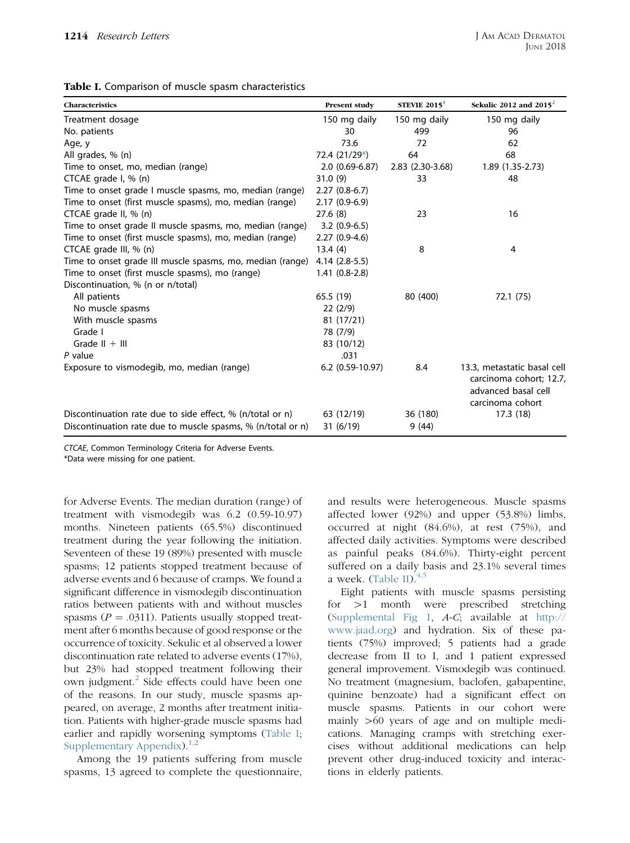| Table I. Comparison of muscle spasm characteristics |
|-----------------------------------------------------|
|-----------------------------------------------------|

| Characteristics                                             | Present study      | STEVIE $20151$   | Sekulic 2012 and $2015^2$                                                                         |
|-------------------------------------------------------------|--------------------|------------------|---------------------------------------------------------------------------------------------------|
| Treatment dosage                                            | 150 mg daily       | 150 mg daily     | 150 mg daily                                                                                      |
| No. patients                                                | 30                 | 499              | 96                                                                                                |
| Age, y                                                      | 73.6               | 72               | 62                                                                                                |
| All grades, % (n)                                           | 72.4 (21/29*)      | 64               | 68                                                                                                |
| Time to onset, mo, median (range)                           | $2.0(0.69-6.87)$   | 2.83 (2.30-3.68) | 1.89 (1.35-2.73)                                                                                  |
| CTCAE grade I, % (n)                                        | 31.0(9)            | 33               | 48                                                                                                |
| Time to onset grade I muscle spasms, mo, median (range)     | $2.27(0.8-6.7)$    |                  |                                                                                                   |
| Time to onset (first muscle spasms), mo, median (range)     | $2.17(0.9-6.9)$    |                  |                                                                                                   |
| CTCAE grade II, $% (n)$                                     | 27.6(8)            | 23               | 16                                                                                                |
| Time to onset grade II muscle spasms, mo, median (range)    | $3.2(0.9-6.5)$     |                  |                                                                                                   |
| Time to onset (first muscle spasms), mo, median (range)     | $2.27(0.9-4.6)$    |                  |                                                                                                   |
| CTCAE grade III, $% (n)$                                    | 13.4(4)            | 8                | $\overline{4}$                                                                                    |
| Time to onset grade III muscle spasms, mo, median (range)   | 4.14 (2.8-5.5)     |                  |                                                                                                   |
| Time to onset (first muscle spasms), mo (range)             | $1.41(0.8-2.8)$    |                  |                                                                                                   |
| Discontinuation, % (n or n/total)                           |                    |                  |                                                                                                   |
| All patients                                                | 65.5 (19)          | 80 (400)         | 72.1 (75)                                                                                         |
| No muscle spasms                                            | 22(2/9)            |                  |                                                                                                   |
| With muscle spasms                                          | 81 (17/21)         |                  |                                                                                                   |
| Grade I                                                     | 78 (7/9)           |                  |                                                                                                   |
| Grade $   +    $                                            | 83 (10/12)         |                  |                                                                                                   |
| P value                                                     | .031               |                  |                                                                                                   |
| Exposure to vismodegib, mo, median (range)                  | $6.2$ (0.59-10.97) | 8.4              | 13.3, metastatic basal cell<br>carcinoma cohort; 12.7,<br>advanced basal cell<br>carcinoma cohort |
| Discontinuation rate due to side effect, % (n/total or n)   | 63 (12/19)         | 36 (180)         | 17.3(18)                                                                                          |
| Discontinuation rate due to muscle spasms, % (n/total or n) | 31(6/19)           | 9(44)            |                                                                                                   |

CTCAE, Common Terminology Criteria for Adverse Events.

\*Data were missing for one patient.

for Adverse Events. The median duration (range) of treatment with vismodegib was 6.2 (0.59-10.97) months. Nineteen patients (65.5%) discontinued treatment during the year following the initiation. Seventeen of these 19 (89%) presented with muscle spasms; 12 patients stopped treatment because of adverse events and 6 because of cramps. We found a significant difference in vismodegib discontinuation ratios between patients with and without muscles spasms ( $P = .0311$ ). Patients usually stopped treatment after 6 months because of good response or the occurrence of toxicity. Sekulic et al observed a lower discontinuation rate related to adverse events (17%), but 23% had stopped treatment following their own judgment.<sup>[2](#page-3-0)</sup> Side effects could have been one of the reasons. In our study, muscle spasms appeared, on average, 2 months after treatment initiation. Patients with higher-grade muscle spasms had earlier and rapidly worsening symptoms (Table I; Supplementary Appendix). $1,2$ 

Among the 19 patients suffering from muscle spasms, 13 agreed to complete the questionnaire, and results were heterogeneous. Muscle spasms affected lower (92%) and upper (53.8%) limbs, occurred at night (84.6%), at rest (75%), and affected daily activities. Symptoms were described as painful peaks (84.6%). Thirty-eight percent suffered on a daily basis and 23.1% several times a week. [\(Table II](#page-2-0)). $4,5$ 

Eight patients with muscle spasms persisting for  $>1$  month were prescribed stretching [\(Supplemental Fig 1](#page-5-0), A-C; available at [http://](http://www.jaad.org) [www.jaad.org\)](http://www.jaad.org) and hydration. Six of these patients (75%) improved; 5 patients had a grade decrease from II to I, and 1 patient expressed general improvement. Vismodegib was continued. No treatment (magnesium, baclofen, gabapentine, quinine benzoate) had a significant effect on muscle spasms. Patients in our cohort were mainly  $>60$  years of age and on multiple medications. Managing cramps with stretching exercises without additional medications can help prevent other drug-induced toxicity and interactions in elderly patients.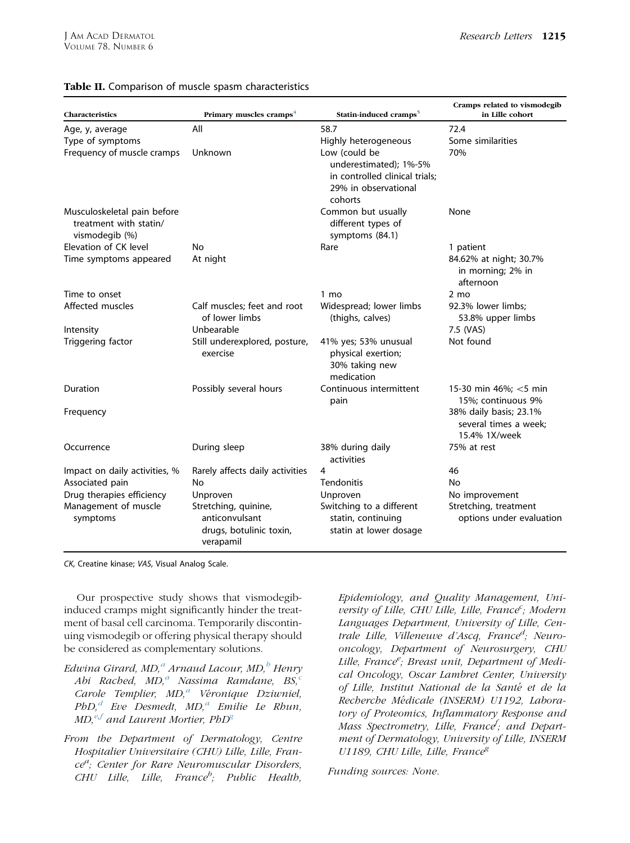| Characteristics                                                         | Primary muscles cramps <sup>4</sup>                                            | Statin-induced cramps <sup>5</sup>                                                                           |                                                                  |
|-------------------------------------------------------------------------|--------------------------------------------------------------------------------|--------------------------------------------------------------------------------------------------------------|------------------------------------------------------------------|
| Age, y, average                                                         | All                                                                            | 58.7                                                                                                         | 72.4                                                             |
| Type of symptoms                                                        |                                                                                | Highly heterogeneous                                                                                         | Some similarities                                                |
| Frequency of muscle cramps                                              | Unknown                                                                        | Low (could be<br>underestimated); 1%-5%<br>in controlled clinical trials;<br>29% in observational<br>cohorts | 70%                                                              |
| Musculoskeletal pain before<br>treatment with statin/<br>vismodegib (%) |                                                                                | Common but usually<br>different types of<br>symptoms (84.1)                                                  | None                                                             |
| Elevation of CK level                                                   | No                                                                             | Rare                                                                                                         | 1 patient                                                        |
| Time symptoms appeared                                                  | At night                                                                       |                                                                                                              | 84.62% at night; 30.7%<br>in morning; 2% in<br>afternoon         |
| Time to onset                                                           |                                                                                | 1 mo                                                                                                         | $2 \text{ mo}$                                                   |
| Affected muscles                                                        | Calf muscles: feet and root<br>of lower limbs                                  | Widespread; lower limbs<br>(thighs, calves)                                                                  | 92.3% lower limbs;<br>53.8% upper limbs                          |
| Intensity                                                               | Unbearable                                                                     |                                                                                                              | 7.5 (VAS)                                                        |
| Triggering factor                                                       | Still underexplored, posture,<br>exercise                                      | 41% yes; 53% unusual<br>physical exertion;<br>30% taking new<br>medication                                   | Not found                                                        |
| Duration                                                                | Possibly several hours                                                         | Continuous intermittent<br>pain                                                                              | 15-30 min 46%; <5 min<br>15%; continuous 9%                      |
| Frequency                                                               |                                                                                |                                                                                                              | 38% daily basis; 23.1%<br>several times a week:<br>15.4% 1X/week |
| Occurrence                                                              | During sleep                                                                   | 38% during daily<br>activities                                                                               | 75% at rest                                                      |
| Impact on daily activities, %                                           | Rarely affects daily activities                                                | 4                                                                                                            | 46                                                               |
| Associated pain                                                         | No                                                                             | <b>Tendonitis</b>                                                                                            | No                                                               |
| Drug therapies efficiency                                               | Unproven                                                                       | Unproven                                                                                                     | No improvement                                                   |
| Management of muscle<br>symptoms                                        | Stretching, quinine,<br>anticonvulsant<br>drugs, botulinic toxin,<br>verapamil | Switching to a different<br>statin, continuing<br>statin at lower dosage                                     | Stretching, treatment<br>options under evaluation                |

### <span id="page-2-0"></span>Table II. Comparison of muscle spasm characteristics

CK, Creatine kinase; VAS, Visual Analog Scale.

Our prospective study shows that vismodegibinduced cramps might significantly hinder the treatment of basal cell carcinoma. Temporarily discontinuing vismodegib or offering physical therapy should be considered as complementary solutions.

- Edwina Girard, MD,<sup>a</sup> Arnaud Lacour, MD,<sup>b</sup> Henry Abi Rached,  $MD<sub>i</sub><sup>a</sup>$  Nassima Ramdane,  $BS<sub>i</sub><sup>c</sup>$ Carole Templier,  $MD<sub>i</sub><sup>a</sup>$  Véronique Dziwniel,  $PbD$ ,<sup>d</sup> Eve Desmedt, MD,<sup>a</sup> Emilie Le Rhun,  $MD<sub>i</sub><sup>e,f</sup>$  and Laurent Mortier, PhD<sup>g</sup>
- From the Department of Dermatology, Centre Hospitalier Universitaire (CHU) Lille, Lille, France<sup>a</sup>; Center for Rare Neuromuscular Disorders,  $CHU$  Lille, Lille, France<sup>b</sup>; Public Health,

Epidemiology, and Quality Management, University of Lille, CHU Lille, Lille, France<sup>c</sup>; Modern Languages Department, University of Lille, Centrale Lille, Villeneuve d'Ascq, France<sup>d</sup>; Neurooncology, Department of Neurosurgery, CHU Lille, France<sup>e</sup>; Breast unit, Department of Medical Oncology, Oscar Lambret Center, University of Lille, Institut National de la Santé et de la Recherche Medicale (INSERM) U1192, Laboratory of Proteomics, Inflammatory Response and Mass Spectrometry, Lille, France<sup>f</sup>; and Department of Dermatology, University of Lille, INSERM U1189, CHU Lille, Lille, France<sup>g</sup>

Funding sources: None.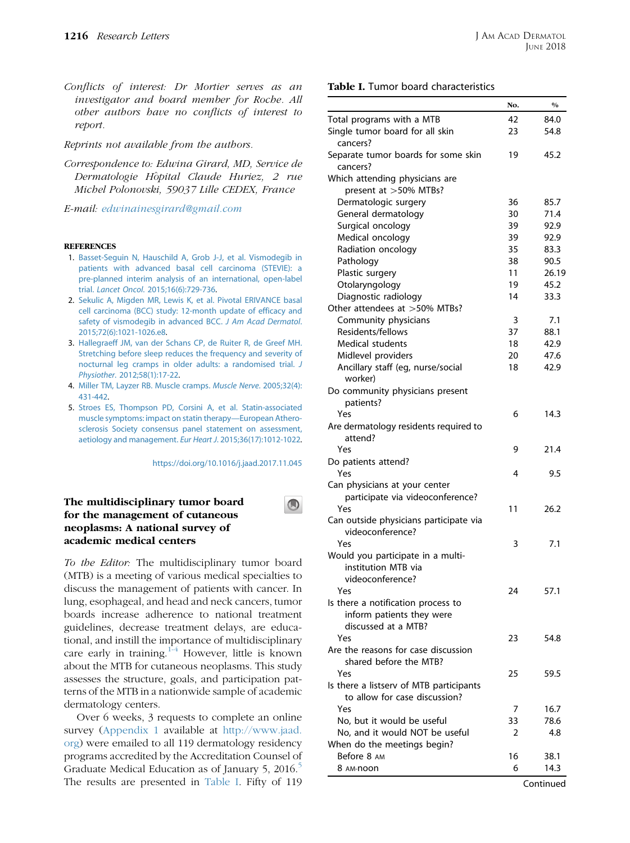<span id="page-3-0"></span>Conflicts of interest: Dr Mortier serves as an investigator and board member for Roche. All other authors have no conflicts of interest to report.

Reprints not available from the authors.

Correspondence to: Edwina Girard, MD, Service de Dermatologie H^opital Claude Huriez, 2 rue Michel Polonovski, 59037 Lille CEDEX, France

E-mail: [edwinainesgirard@gmail.com](mailto:edwinainesgirard@gmail.com)

#### **REFERENCES**

- 1. [Basset-Seguin N, Hauschild A, Grob J-J, et al. Vismodegib in](http://refhub.elsevier.com/S0190-9622(17)32744-5/sref1) [patients with advanced basal cell carcinoma \(STEVIE\): a](http://refhub.elsevier.com/S0190-9622(17)32744-5/sref1) [pre-planned interim analysis of an international, open-label](http://refhub.elsevier.com/S0190-9622(17)32744-5/sref1) trial. Lancet Oncol[. 2015;16\(6\):729-736](http://refhub.elsevier.com/S0190-9622(17)32744-5/sref1).
- 2. [Sekulic A, Migden MR, Lewis K, et al. Pivotal ERIVANCE basal](http://refhub.elsevier.com/S0190-9622(17)32744-5/sref2) [cell carcinoma \(BCC\) study: 12-month update of efficacy and](http://refhub.elsevier.com/S0190-9622(17)32744-5/sref2) [safety of vismodegib in advanced BCC.](http://refhub.elsevier.com/S0190-9622(17)32744-5/sref2) J Am Acad Dermatol. [2015;72\(6\):1021-1026.e8.](http://refhub.elsevier.com/S0190-9622(17)32744-5/sref2)
- 3. [Hallegraeff JM, van der Schans CP, de Ruiter R, de Greef MH.](http://refhub.elsevier.com/S0190-9622(17)32744-5/sref3) [Stretching before sleep reduces the frequency and severity of](http://refhub.elsevier.com/S0190-9622(17)32744-5/sref3) [nocturnal leg cramps in older adults: a randomised trial.](http://refhub.elsevier.com/S0190-9622(17)32744-5/sref3) J Physiother[. 2012;58\(1\):17-22.](http://refhub.elsevier.com/S0190-9622(17)32744-5/sref3)
- 4. [Miller TM, Layzer RB. Muscle cramps.](http://refhub.elsevier.com/S0190-9622(17)32744-5/sref4) Muscle Nerve. 2005;32(4): [431-442.](http://refhub.elsevier.com/S0190-9622(17)32744-5/sref4)
- 5. [Stroes ES, Thompson PD, Corsini A, et al. Statin-associated](http://refhub.elsevier.com/S0190-9622(17)32744-5/sref5) [muscle symptoms: impact on statin therapy—European Athero](http://refhub.elsevier.com/S0190-9622(17)32744-5/sref5)[sclerosis Society consensus panel statement on assessment,](http://refhub.elsevier.com/S0190-9622(17)32744-5/sref5) [aetiology and management.](http://refhub.elsevier.com/S0190-9622(17)32744-5/sref5) Eur Heart J. 2015;36(17):1012-1022.

<https://doi.org/10.1016/j.jaad.2017.11.045>

# The multidisciplinary tumor board for the management of cutaneous neoplasms: A national survey of academic medical centers



To the Editor: The multidisciplinary tumor board (MTB) is a meeting of various medical specialties to discuss the management of patients with cancer. In lung, esophageal, and head and neck cancers, tumor boards increase adherence to national treatment guidelines, decrease treatment delays, are educational, and instill the importance of multidisciplinary care early in training. $1-4$  However, little is known about the MTB for cutaneous neoplasms. This study assesses the structure, goals, and participation patterns of the MTB in a nationwide sample of academic dermatology centers.

Over 6 weeks, 3 requests to complete an online survey (Appendix 1 available at [http://www.jaad.](http://www.jaad.org) [org\)](http://www.jaad.org) were emailed to all 119 dermatology residency programs accredited by the Accreditation Counsel of Graduate Medical Education as of January 5, 2016.<sup>5</sup> The results are presented in Table I. Fifty of 119

# Table I. Tumor board characteristics

|                                                                 | No. | $\frac{0}{0}$ |
|-----------------------------------------------------------------|-----|---------------|
| Total programs with a MTB                                       | 42  | 84.0          |
| Single tumor board for all skin<br>cancers?                     | 23  | 54.8          |
| Separate tumor boards for some skin<br>cancers?                 | 19  | 45.2          |
| Which attending physicians are                                  |     |               |
| present at >50% MTBs?                                           |     |               |
| Dermatologic surgery                                            | 36  | 85.7          |
| General dermatology                                             | 30  | 71.4          |
| Surgical oncology                                               | 39  | 92.9          |
| Medical oncology                                                | 39  | 92.9          |
| Radiation oncology                                              | 35  | 83.3          |
| Pathology                                                       | 38  | 90.5          |
| Plastic surgery                                                 | 11  | 26.19         |
| Otolaryngology                                                  | 19  | 45.2          |
| Diagnostic radiology                                            | 14  | 33.3          |
| Other attendees at >50% MTBs?                                   |     |               |
| Community physicians                                            | 3   | 7.1           |
| Residents/fellows                                               | 37  | 88.1          |
| Medical students                                                | 18  | 42.9          |
| Midlevel providers                                              | 20  | 47.6          |
| Ancillary staff (eg, nurse/social<br>worker)                    | 18  | 42.9          |
| Do community physicians present<br>patients?                    |     |               |
| Yes                                                             | 6   | 14.3          |
| Are dermatology residents required to                           |     |               |
| attend?                                                         |     |               |
| Yes                                                             | 9   | 21.4          |
| Do patients attend?<br>Yes                                      | 4   | 9.5           |
| Can physicians at your center                                   |     |               |
| participate via videoconference?                                |     |               |
| Yes                                                             | 11  | 26.2          |
| Can outside physicians participate via<br>videoconference?      |     |               |
| Yes                                                             | 3   | 7.1           |
| Would you participate in a multi-                               |     |               |
| institution MTB via<br>videoconference?                         |     |               |
| Yes                                                             | 24  | 57.1          |
| Is there a notification process to<br>inform patients they were |     |               |
| discussed at a MTB?                                             |     |               |
| Yes                                                             | 23  | 54.8          |
| Are the reasons for case discussion                             |     |               |
| shared before the MTB?                                          |     |               |
| Yes                                                             | 25  | 59.5          |
| Is there a listserv of MTB participants                         |     |               |
| to allow for case discussion?                                   |     |               |
| Yes                                                             | 7   | 16.7          |
| No, but it would be useful                                      | 33  | 78.6          |
| No, and it would NOT be useful                                  | 2   | 4.8           |
| When do the meetings begin?                                     |     |               |
| Before 8 AM                                                     | 16  | 38.1          |
| 8 AM-noon                                                       | 6   | 14.3          |
|                                                                 |     |               |

Continued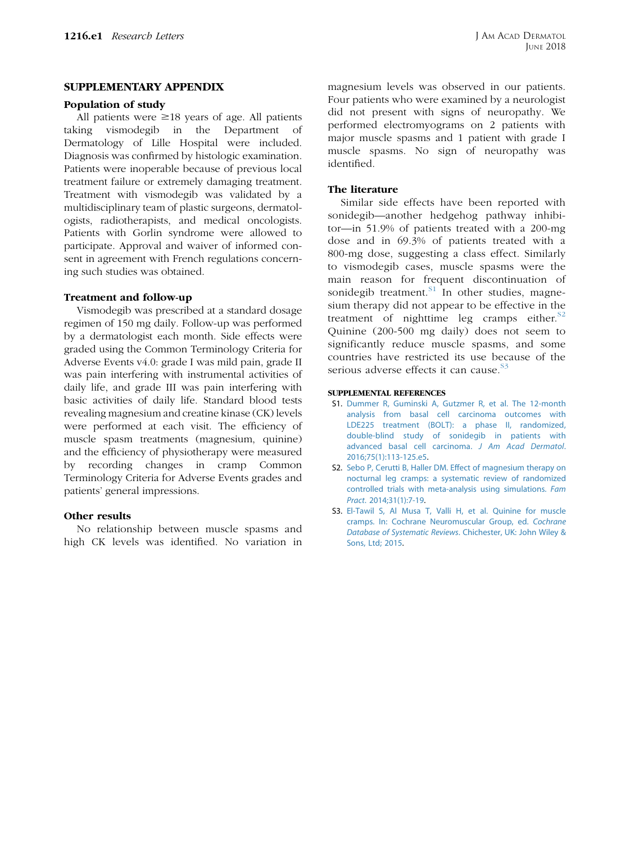## SUPPLEMENTARY APPENDIX

### Population of study

All patients were  $\geq 18$  years of age. All patients taking vismodegib in the Department of Dermatology of Lille Hospital were included. Diagnosis was confirmed by histologic examination. Patients were inoperable because of previous local treatment failure or extremely damaging treatment. Treatment with vismodegib was validated by a multidisciplinary team of plastic surgeons, dermatologists, radiotherapists, and medical oncologists. Patients with Gorlin syndrome were allowed to participate. Approval and waiver of informed consent in agreement with French regulations concerning such studies was obtained.

### Treatment and follow-up

Vismodegib was prescribed at a standard dosage regimen of 150 mg daily. Follow-up was performed by a dermatologist each month. Side effects were graded using the Common Terminology Criteria for Adverse Events v4.0: grade I was mild pain, grade II was pain interfering with instrumental activities of daily life, and grade III was pain interfering with basic activities of daily life. Standard blood tests revealing magnesium and creatine kinase (CK) levels were performed at each visit. The efficiency of muscle spasm treatments (magnesium, quinine) and the efficiency of physiotherapy were measured by recording changes in cramp Common Terminology Criteria for Adverse Events grades and patients' general impressions.

### Other results

No relationship between muscle spasms and high CK levels was identified. No variation in magnesium levels was observed in our patients. Four patients who were examined by a neurologist did not present with signs of neuropathy. We performed electromyograms on 2 patients with major muscle spasms and 1 patient with grade I muscle spasms. No sign of neuropathy was identified.

# The literature

Similar side effects have been reported with sonidegib—another hedgehog pathway inhibitor—in 51.9% of patients treated with a 200-mg dose and in 69.3% of patients treated with a 800-mg dose, suggesting a class effect. Similarly to vismodegib cases, muscle spasms were the main reason for frequent discontinuation of sonidegib treatment. $S<sup>1</sup>$  In other studies, magnesium therapy did not appear to be effective in the treatment of nighttime leg cramps either. ${}^{S2}$ Quinine (200-500 mg daily) does not seem to significantly reduce muscle spasms, and some countries have restricted its use because of the serious adverse effects it can cause.  $83$ 

#### SUPPLEMENTAL REFERENCES

- S1. [Dummer R, Guminski A, Gutzmer R, et al. The 12-month](http://refhub.elsevier.com/S0190-9622(18)30210-X/sref6) [analysis from basal cell carcinoma outcomes with](http://refhub.elsevier.com/S0190-9622(18)30210-X/sref6) [LDE225 treatment \(BOLT\): a phase II, randomized,](http://refhub.elsevier.com/S0190-9622(18)30210-X/sref6) [double-blind study of sonidegib in patients with](http://refhub.elsevier.com/S0190-9622(18)30210-X/sref6) [advanced basal cell carcinoma.](http://refhub.elsevier.com/S0190-9622(18)30210-X/sref6) J Am Acad Dermatol. [2016;75\(1\):113-125.e5.](http://refhub.elsevier.com/S0190-9622(18)30210-X/sref6)
- S2. [Sebo P, Cerutti B, Haller DM. Effect of magnesium therapy on](http://refhub.elsevier.com/S0190-9622(17)32754-8/sref7) [nocturnal leg cramps: a systematic review of randomized](http://refhub.elsevier.com/S0190-9622(17)32754-8/sref7) [controlled trials with meta-analysis using simulations.](http://refhub.elsevier.com/S0190-9622(17)32754-8/sref7) Fam Pract[. 2014;31\(1\):7-19.](http://refhub.elsevier.com/S0190-9622(17)32754-8/sref7)
- S3. [El-Tawil S, Al Musa T, Valli H, et al. Quinine for muscle](http://refhub.elsevier.com/S0190-9622(17)32754-8/sref8) [cramps. In: Cochrane Neuromuscular Group, ed.](http://refhub.elsevier.com/S0190-9622(17)32754-8/sref8) Cochrane [Database of Systematic Reviews](http://refhub.elsevier.com/S0190-9622(17)32754-8/sref8). Chichester, UK: John Wiley & [Sons, Ltd; 2015](http://refhub.elsevier.com/S0190-9622(17)32754-8/sref8).